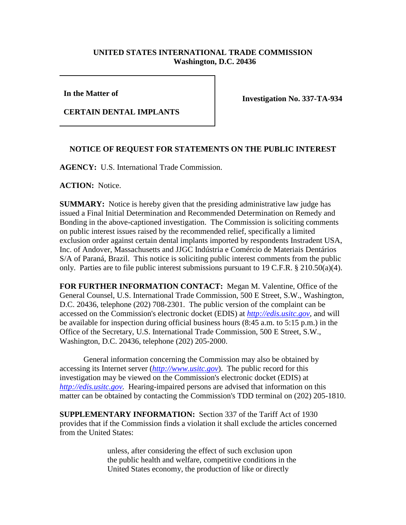## **UNITED STATES INTERNATIONAL TRADE COMMISSION Washington, D.C. 20436**

**In the Matter of** 

**CERTAIN DENTAL IMPLANTS**

**Investigation No. 337-TA-934**

## **NOTICE OF REQUEST FOR STATEMENTS ON THE PUBLIC INTEREST**

**AGENCY:** U.S. International Trade Commission.

**ACTION:** Notice.

**SUMMARY:** Notice is hereby given that the presiding administrative law judge has issued a Final Initial Determination and Recommended Determination on Remedy and Bonding in the above-captioned investigation. The Commission is soliciting comments on public interest issues raised by the recommended relief, specifically a limited exclusion order against certain dental implants imported by respondents Instradent USA, Inc. of Andover, Massachusetts and JJGC Indústria e Comércio de Materiais Dentários S/A of Paraná, Brazil. This notice is soliciting public interest comments from the public only. Parties are to file public interest submissions pursuant to 19 C.F.R. § 210.50(a)(4).

**FOR FURTHER INFORMATION CONTACT:** Megan M. Valentine, Office of the General Counsel, U.S. International Trade Commission, 500 E Street, S.W., Washington, D.C. 20436, telephone (202) 708-2301. The public version of the complaint can be accessed on the Commission's electronic docket (EDIS) at *[http://edis.usitc.gov](http://edis.usitc.gov/)*, and will be available for inspection during official business hours (8:45 a.m. to 5:15 p.m.) in the Office of the Secretary, U.S. International Trade Commission, 500 E Street, S.W., Washington, D.C. 20436, telephone (202) 205-2000.

General information concerning the Commission may also be obtained by accessing its Internet server (*[http://www.usitc.gov](http://www.usitc.gov/)*). The public record for this investigation may be viewed on the Commission's electronic docket (EDIS) at *[http://edis.usitc.gov.](http://edis.usitc.gov/)* Hearing-impaired persons are advised that information on this matter can be obtained by contacting the Commission's TDD terminal on (202) 205-1810.

**SUPPLEMENTARY INFORMATION:** Section 337 of the Tariff Act of 1930 provides that if the Commission finds a violation it shall exclude the articles concerned from the United States:

> unless, after considering the effect of such exclusion upon the public health and welfare, competitive conditions in the United States economy, the production of like or directly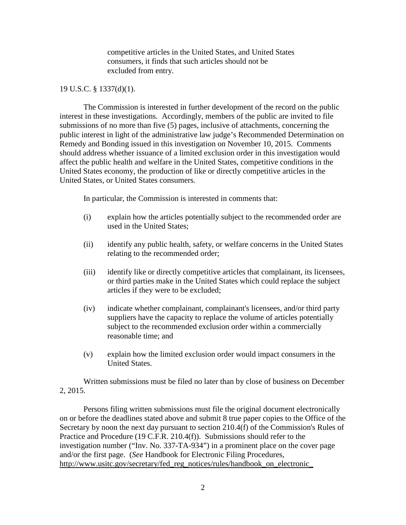competitive articles in the United States, and United States consumers, it finds that such articles should not be excluded from entry.

## 19 U.S.C. § 1337(d)(1).

The Commission is interested in further development of the record on the public interest in these investigations. Accordingly, members of the public are invited to file submissions of no more than five (5) pages, inclusive of attachments, concerning the public interest in light of the administrative law judge's Recommended Determination on Remedy and Bonding issued in this investigation on November 10, 2015. Comments should address whether issuance of a limited exclusion order in this investigation would affect the public health and welfare in the United States, competitive conditions in the United States economy, the production of like or directly competitive articles in the United States, or United States consumers.

In particular, the Commission is interested in comments that:

- (i) explain how the articles potentially subject to the recommended order are used in the United States;
- (ii) identify any public health, safety, or welfare concerns in the United States relating to the recommended order;
- (iii) identify like or directly competitive articles that complainant, its licensees, or third parties make in the United States which could replace the subject articles if they were to be excluded;
- (iv) indicate whether complainant, complainant's licensees, and/or third party suppliers have the capacity to replace the volume of articles potentially subject to the recommended exclusion order within a commercially reasonable time; and
- (v) explain how the limited exclusion order would impact consumers in the United States.

Written submissions must be filed no later than by close of business on December 2, 2015.

Persons filing written submissions must file the original document electronically on or before the deadlines stated above and submit 8 true paper copies to the Office of the Secretary by noon the next day pursuant to section 210.4(f) of the Commission's Rules of Practice and Procedure (19 C.F.R. 210.4(f)). Submissions should refer to the investigation number ("Inv. No. 337-TA-934") in a prominent place on the cover page and/or the first page. (*See* Handbook for Electronic Filing Procedures, http://www.usitc.gov/secretary/fed\_reg\_notices/rules/handbook\_on\_electronic\_